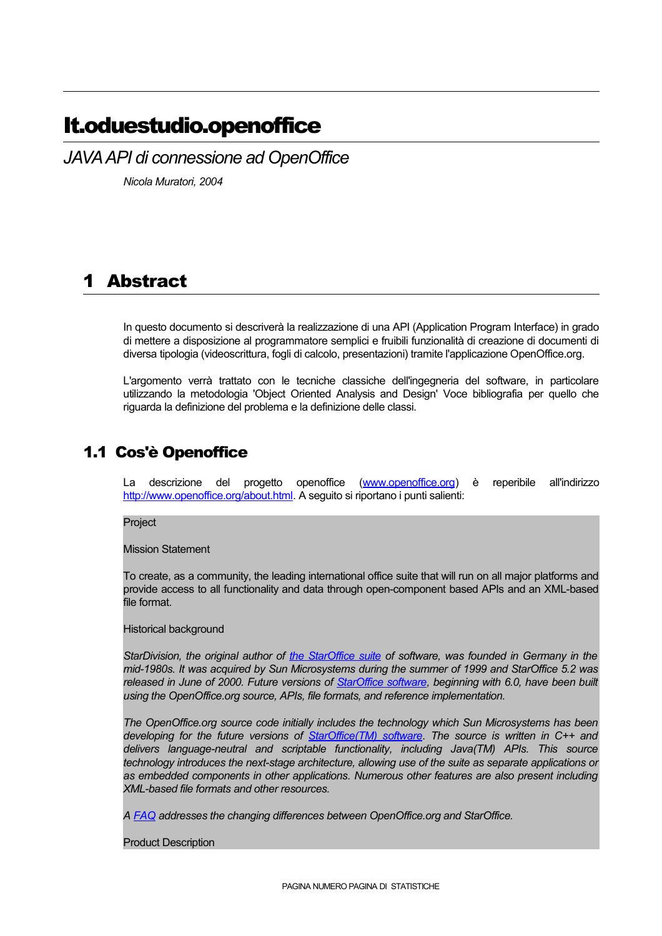# It.oduestudio.openoffice

*JAVAAPI di connessione ad OpenOffice*

*Nicola Muratori, 2004*

# 1 Abstract

In questo documento si descriverà la realizzazione di una API (Application Program Interface) in grado di mettere a disposizione al programmatore semplici e fruibili funzionalità di creazione di documenti di diversa tipologia (videoscrittura, fogli di calcolo, presentazioni) tramite l'applicazione OpenOffice.org.

L'argomento verrà trattato con le tecniche classiche dell'ingegneria del software, in particolare utilizzando la metodologia 'Object Oriented Analysis and Design' Voce bibliografia per quello che riguarda la definizione del problema e la definizione delle classi.

# 1.1 Cos'è Openoffice

La descrizione del progetto openoffice (www.openoffice.org) è reperibile all'indirizzo http://www.openoffice.org/about.html. A seguito si riportano i punti salienti:

Project

Mission Statement

To create, as a community, the leading international office suite that will run on all major platforms and provide access to all functionality and data through open-component based APIs and an XML-based file format.

Historical background

*StarDivision, the original author of the StarOffice suite of software, was founded in Germany in the mid-1980s. It was acquired by Sun Microsystems during the summer of 1999 and StarOffice 5.2 was released in June of 2000. Future versions of StarOffice software, beginning with 6.0, have been built using the OpenOffice.org source, APIs, file formats, and reference implementation.*

*The OpenOffice.org source code initially includes the technology which Sun Microsystems has been developing for the future versions of StarOffice(TM) software. The source is written in C++ and delivers language-neutral and scriptable functionality, including Java(TM) APIs. This source technology introduces the next-stage architecture, allowing use of the suite as separate applications or as embedded components in other applications. Numerous other features are also present including XML-based file formats and other resources.*

*A FAQ addresses the changing differences between OpenOffice.org and StarOffice.*

Product Description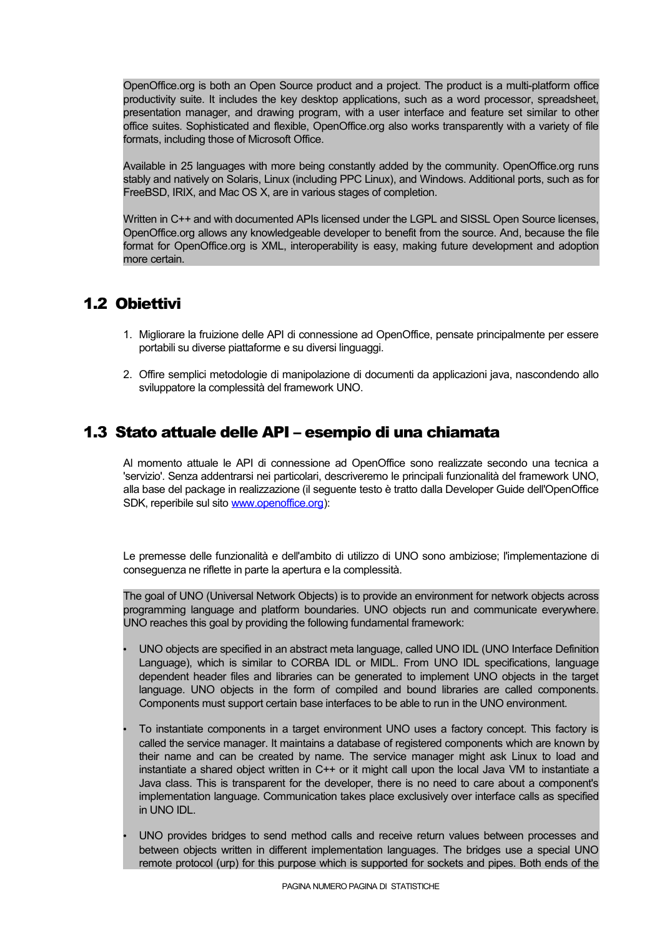OpenOffice.org is both an Open Source product and a project. The product is a multi-platform office productivity suite. It includes the key desktop applications, such as a word processor, spreadsheet, presentation manager, and drawing program, with a user interface and feature set similar to other office suites. Sophisticated and flexible, OpenOffice.org also works transparently with a variety of file formats, including those of Microsoft Office.

Available in 25 languages with more being constantly added by the community. OpenOffice.org runs stably and natively on Solaris, Linux (including PPC Linux), and Windows. Additional ports, such as for FreeBSD, IRIX, and Mac OS X, are in various stages of completion.

Written in C++ and with documented APIs licensed under the LGPL and SISSL Open Source licenses, OpenOffice.org allows any knowledgeable developer to benefit from the source. And, because the file format for OpenOffice.org is XML, interoperability is easy, making future development and adoption more certain.

# 1.2 Obiettivi

- 1. Migliorare la fruizione delle API di connessione ad OpenOffice, pensate principalmente per essere portabili su diverse piattaforme e su diversi linguaggi.
- 2. Offire semplici metodologie di manipolazione di documenti da applicazioni java, nascondendo allo sviluppatore la complessità del framework UNO.

# 1.3 Stato attuale delle API – esempio di una chiamata

Al momento attuale le API di connessione ad OpenOffice sono realizzate secondo una tecnica a 'servizio'. Senza addentrarsi nei particolari, descriveremo le principali funzionalità del framework UNO, alla base del package in realizzazione (il seguente testo è tratto dalla Developer Guide dell'OpenOffice SDK, reperibile sul sito www.openoffice.org):

Le premesse delle funzionalità e dell'ambito di utilizzo di UNO sono ambiziose; l'implementazione di conseguenza ne riflette in parte la apertura e la complessità.

The goal of UNO (Universal Network Objects) is to provide an environment for network objects across programming language and platform boundaries. UNO objects run and communicate everywhere. UNO reaches this goal by providing the following fundamental framework:

- UNO objects are specified in an abstract meta language, called UNO IDL (UNO Interface Definition Language), which is similar to CORBA IDL or MIDL. From UNO IDL specifications, language dependent header files and libraries can be generated to implement UNO objects in the target language. UNO objects in the form of compiled and bound libraries are called components. Components must support certain base interfaces to be able to run in the UNO environment.
- To instantiate components in a target environment UNO uses a factory concept. This factory is called the service manager. It maintains a database of registered components which are known by their name and can be created by name. The service manager might ask Linux to load and instantiate a shared object written in C++ or it might call upon the local Java VM to instantiate a Java class. This is transparent for the developer, there is no need to care about a component's implementation language. Communication takes place exclusively over interface calls as specified in UNO IDL.
- UNO provides bridges to send method calls and receive return values between processes and between objects written in different implementation languages. The bridges use a special UNO remote protocol (urp) for this purpose which is supported for sockets and pipes. Both ends of the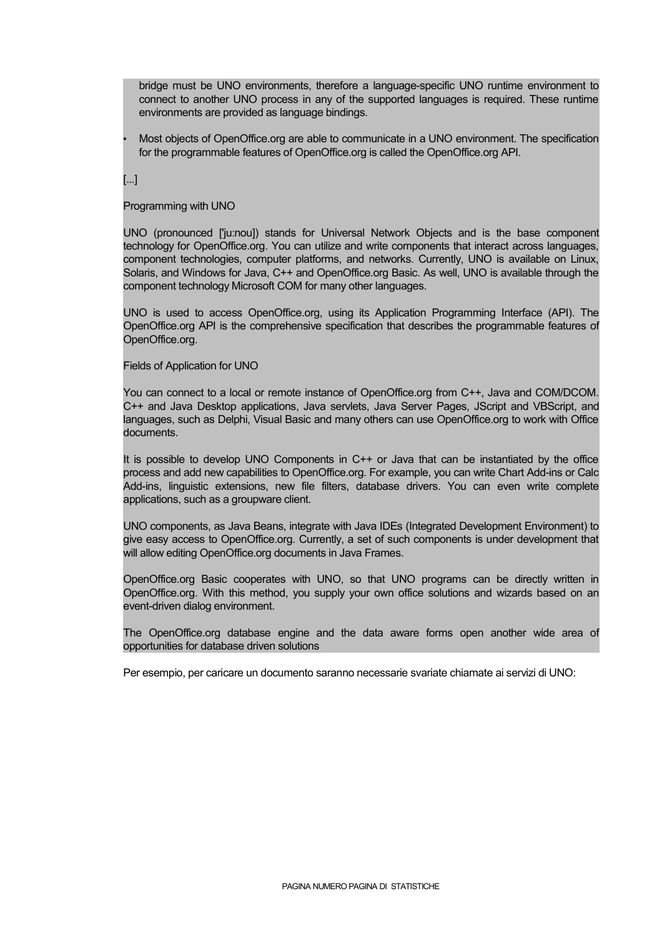bridge must be UNO environments, therefore a language-specific UNO runtime environment to connect to another UNO process in any of the supported languages is required. These runtime environments are provided as language bindings.

• Most objects of OpenOffice.org are able to communicate in a UNO environment. The specification for the programmable features of OpenOffice.org is called the OpenOffice.org API.

[...]

Programming with UNO

UNO (pronounced ['ju:nou]) stands for Universal Network Objects and is the base component technology for OpenOffice.org. You can utilize and write components that interact across languages, component technologies, computer platforms, and networks. Currently, UNO is available on Linux, Solaris, and Windows for Java, C++ and OpenOffice.org Basic. As well, UNO is available through the component technology Microsoft COM for many other languages.

UNO is used to access OpenOffice.org, using its Application Programming Interface (API). The OpenOffice.org API is the comprehensive specification that describes the programmable features of OpenOffice.org.

Fields of Application for UNO

You can connect to a local or remote instance of OpenOffice.org from C++, Java and COM/DCOM. C++ and Java Desktop applications, Java servlets, Java Server Pages, JScript and VBScript, and languages, such as Delphi, Visual Basic and many others can use OpenOffice.org to work with Office documents.

It is possible to develop UNO Components in C++ or Java that can be instantiated by the office process and add new capabilities to OpenOffice.org. For example, you can write Chart Add-ins or Calc Add-ins, linguistic extensions, new file filters, database drivers. You can even write complete applications, such as a groupware client.

UNO components, as Java Beans, integrate with Java IDEs (Integrated Development Environment) to give easy access to OpenOffice.org. Currently, a set of such components is under development that will allow editing OpenOffice.org documents in Java Frames.

OpenOffice.org Basic cooperates with UNO, so that UNO programs can be directly written in OpenOffice.org. With this method, you supply your own office solutions and wizards based on an event-driven dialog environment.

The OpenOffice.org database engine and the data aware forms open another wide area of opportunities for database driven solutions

Per esempio, per caricare un documento saranno necessarie svariate chiamate ai servizi di UNO: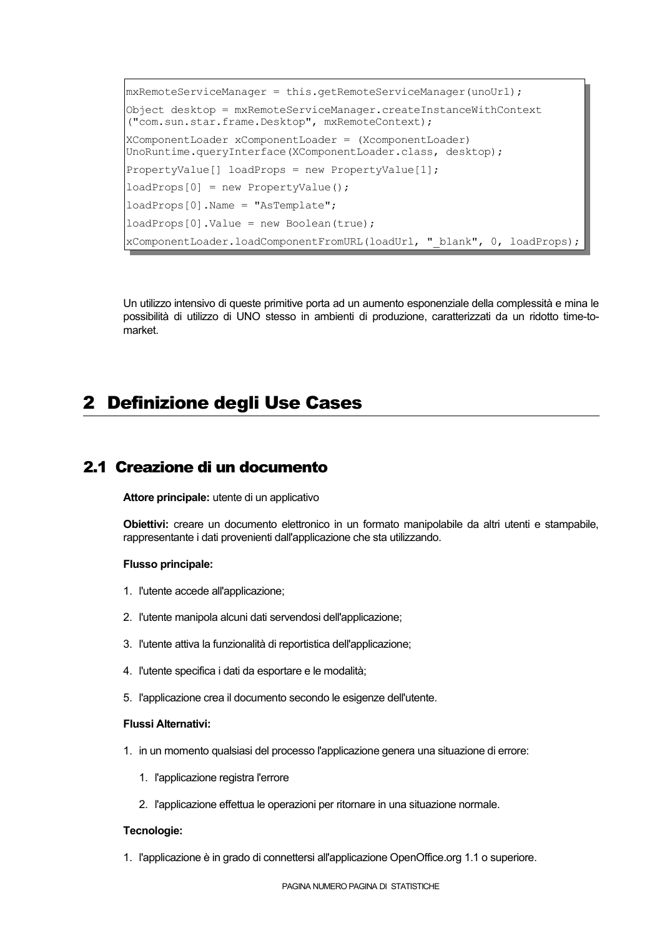```
mxRemoteServiceManager = this.getRemoteServiceManager(unoUrl);
Object desktop = mxRemoteServiceManager.createInstanceWithContext
("com.sun.star.frame.Desktop", mxRemoteContext);
XComponentLoader xComponentLoader = (XcomponentLoader)
UnoRuntime.queryInterface(XComponentLoader.class, desktop);
PropertyValue[] loadProps = new PropertyValue[1];
loadProps[0] = new PropertyValue();
loadProps[0].Name = "AsTemplate";
loadProps[0].Value = new Boolean(true);
xComponentLoader.loadComponentFromURL(loadUrl, " blank", 0, loadProps);
```
Un utilizzo intensivo di queste primitive porta ad un aumento esponenziale della complessità e mina le possibilità di utilizzo di UNO stesso in ambienti di produzione, caratterizzati da un ridotto time-tomarket.

# 2 Definizione degli Use Cases

# 2.1 Creazione di un documento

**Attore principale:** utente di un applicativo

**Obiettivi:** creare un documento elettronico in un formato manipolabile da altri utenti e stampabile, rappresentante i dati provenienti dall'applicazione che sta utilizzando.

#### **Flusso principale:**

- 1. l'utente accede all'applicazione;
- 2. l'utente manipola alcuni dati servendosi dell'applicazione;
- 3. l'utente attiva la funzionalità di reportistica dell'applicazione;
- 4. l'utente specifica i dati da esportare e le modalità;
- 5. l'applicazione crea il documento secondo le esigenze dell'utente.

#### **Flussi Alternativi:**

- 1. in un momento qualsiasi del processo l'applicazionegenera una situazionedi errore:
	- 1. l'applicazione registra l'errore
	- 2. l'applicazione effettua le operazioni per ritornare in una situazione normale.

#### **Tecnologie:**

1. l'applicazione è in grado di connettersi all'applicazione OpenOffice.org 1.1 o superiore.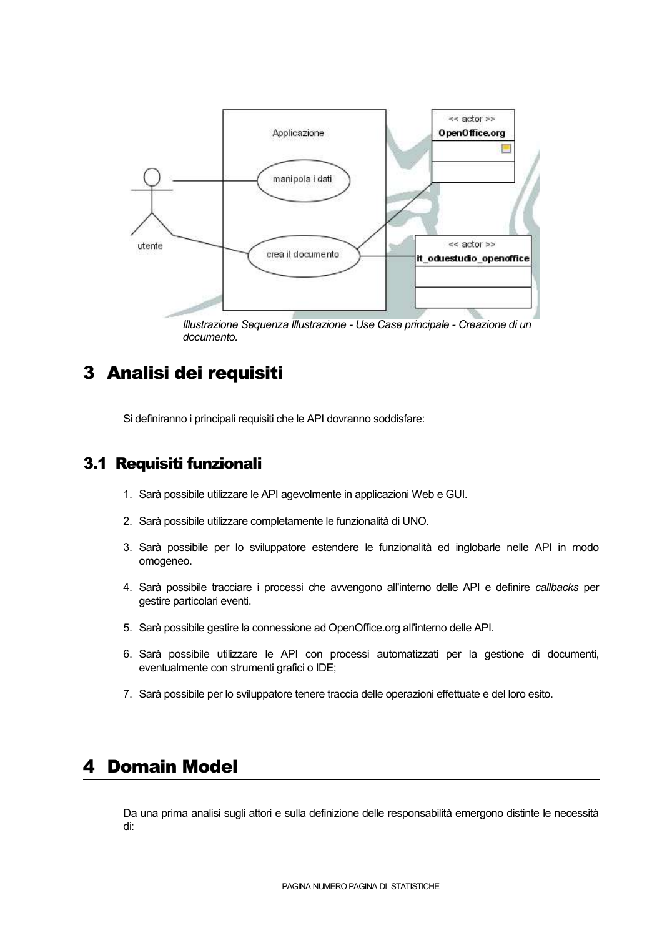

*Illustrazione Sequenza Illustrazione - Use Case principale - Creazione diun documento.*

# 3 Analisi dei requisiti

Sidefiniranno i principali requisiti che le API dovranno soddisfare:

## 3.1 Requisiti funzionali

- 1. Sarà possibile utilizzare le API agevolmente in applicazioni Web e GUI.
- 2. Sarà possibile utilizzare completamente le funzionalità di UNO.
- 3. Sarà possibile per lo sviluppatore estendere le funzionalità ed inglobarle nelle API in modo omogeneo.
- 4. Sarà possibile tracciare i processi che avvengono all'interno delle API e definire *callbacks* per gestire particolari eventi.
- 5. Sarà possibile gestire la connessione ad OpenOffice.org all'interno delle API.
- 6. Sarà possibile utilizzare le API con processi automatizzati per la gestione di documenti, eventualmente con strumenti grafici o IDE;
- 7. Sarà possibile per lo sviluppatore tenere traccia delle operazioni effettuate e del loro esito.

# 4 Domain Model

Da una prima analisi sugli attori e sulla definizione delle responsabilità emergono distinte le necessità di: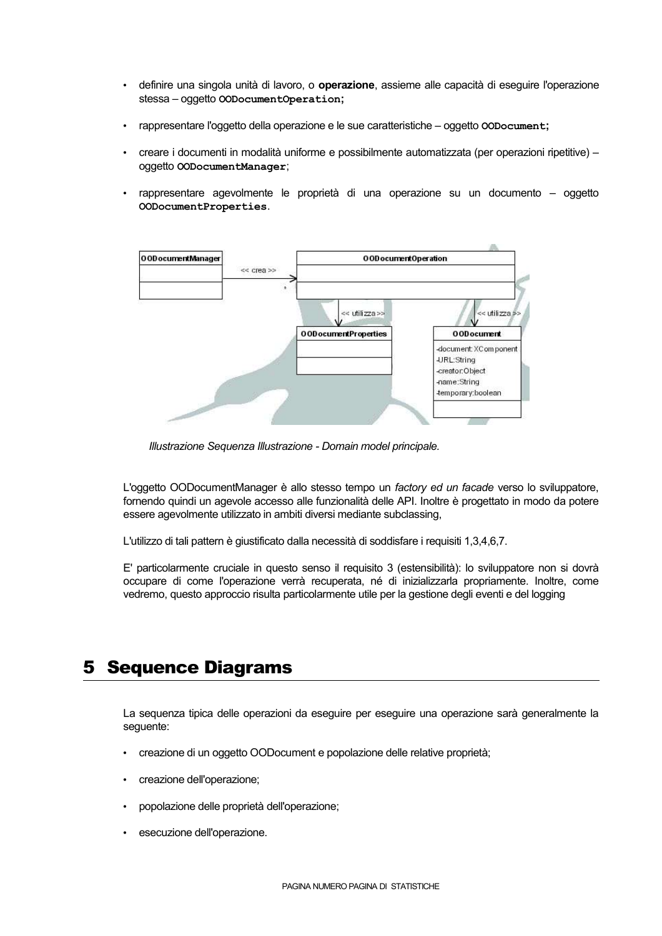- definire una singola unità di lavoro, o **operazione**, assieme alle capacità di eseguire l'operazione stessa – oggetto **OODocumentOperation;**
- rappresentare l'oggetto della operazione e le sue caratteristiche oggetto **OODocument;**
- creare i documenti in modalità uniforme e possibilmente automatizzata (per operazioni ripetitive) oggetto **OODocumentManager**;
- rappresentare agevolmente le proprietà di una operazione su un documento oggetto **OODocumentProperties**.



*Illustrazione Sequenza Illustrazione - Domain model principale.*

L'oggetto OODocumentManager è allo stesso tempo un *factory ed un facade* verso lo sviluppatore, fornendo quindi un agevole accesso alle funzionalità delle API. Inoltre è progettato in modo da potere essere agevolmente utilizzato in ambiti diversi mediante subclassing,

L'utilizzo di tali pattern è giustificato dalla necessità di soddisfare i requisiti 1,3,4,6,7.

E' particolarmente cruciale in questo senso il requisito 3 (estensibilità): lo sviluppatore non si dovrà occupare di come l'operazione verrà recuperata, né di inizializzarla propriamente. Inoltre, come vedremo, questo approccio risulta particolarmente utile per la gestione degli eventie del logging

# 5 Sequence Diagrams

La sequenza tipica delle operazioni da eseguire per eseguire una operazione sarà generalmente la seguente:

- creazione di un oggetto OODocument e popolazione delle relative proprietà;
- creazione dell'operazione;
- popolazione delle proprietà dell'operazione;
- esecuzione dell'operazione.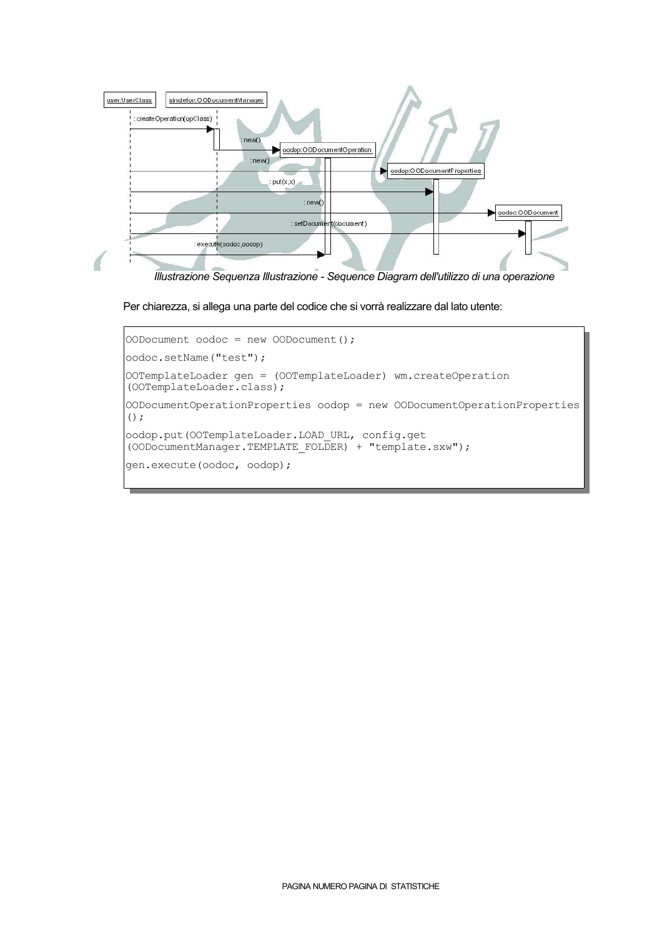

*Illustrazione Sequenza Illustrazione - Sequence Diagram dell'utilizzodi una operazione*

Per chiarezza, si allega una parte del codice che si vorrà realizzare dal lato utente:

```
OODocument odoc = new OODocument();
oodoc.setName("test");
OOTemplateLoader gen = (OOTemplateLoader) wm.createOperation
(OOTemplateLoader.class);
OODocumentOperationProperties oodop = new OODocumentOperationProperties
();
oodop.put(OOTemplateLoader.LOAD_URL, config.get
(OODocumentManager.TEMPLATE_FOLDER) + "template.sxw");
gen.execute(oodoc, oodop);
```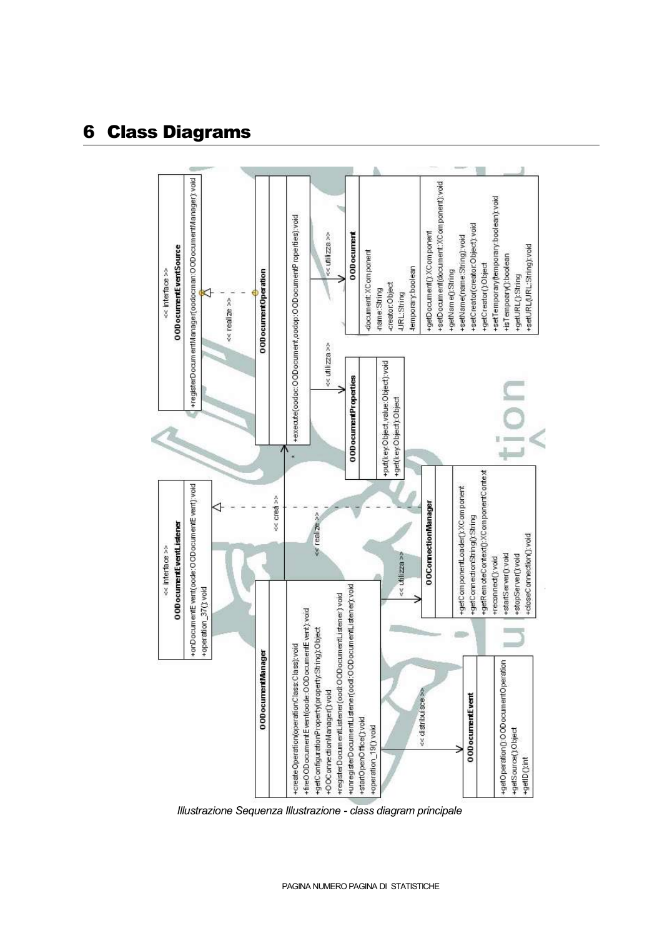# 6 Class Diagrams



*Illustrazione Sequenza Illustrazione - class diagram principale*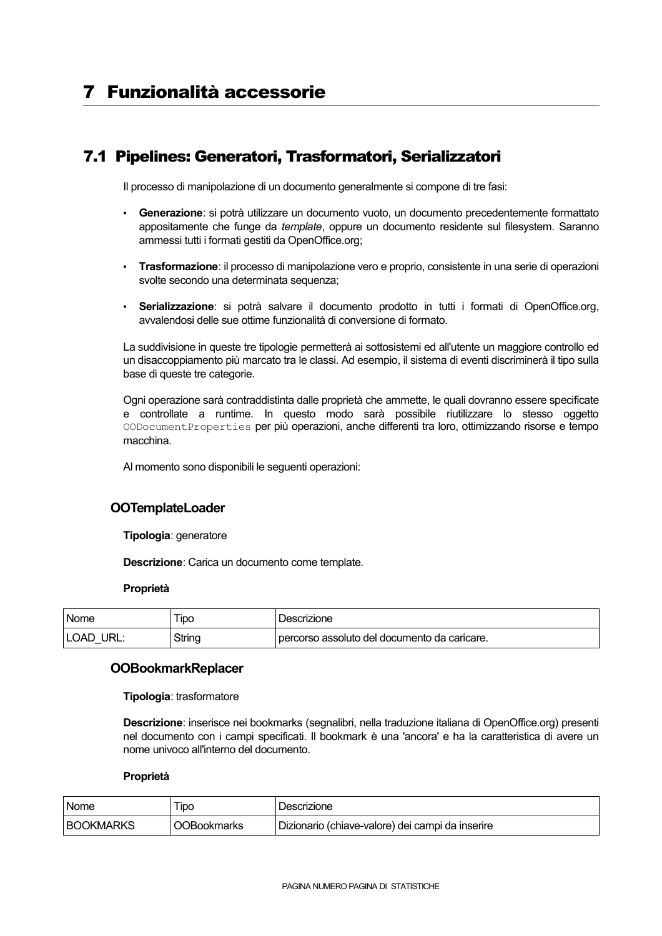# 7.1 Pipelines: Generatori, Trasformatori, Serializzatori

Il processo di manipolazione di un documento generalmente si compone di tre fasi:

- **Generazione**: si potrà utilizzare un documento vuoto, un documento precedentemente formattato appositamente che funge da *template*, oppure un documento residente sul filesystem. Saranno ammessi tutti i formati gestiti da OpenOffice.org;
- **Trasformazione**: il processo di manipolazione vero e proprio, consistente in una serie di operazioni svolte secondo una determinata sequenza;
- **Serializzazione**: si potrà salvare il documento prodotto in tutti i formati di OpenOffice.org, avvalendosi delle sue ottime funzionalità di conversione di formato.

La suddivisione in queste tre tipologie permetterà ai sottosistemi ed all'utente un maggiore controllo ed un disaccoppiamento più marcato tra le classi. Ad esempio, il sistema di eventi discriminerà il tipo sulla base di queste tre categorie.

Ogni operazione sarà contraddistinta dalle proprietà che ammette, le quali dovranno essere specificate e controllate a runtime. In questo modo sarà possibile riutilizzare lo stesso oggetto OODocumentProperties per più operazioni, anche differenti tra loro, ottimizzando risorse e tempo macchina.

Al momento sono disponibili le seguenti operazioni:

### **OOTemplateLoader**

**Tipologia**: generatore

**Descrizione**: Carica un documento come template.

#### **Proprietà**

| ' Nome              | Tipo   | Descrizione                                  |
|---------------------|--------|----------------------------------------------|
| URL:<br><b>LOAD</b> | String | percorso assoluto del documento da caricare. |

#### **OOBookmarkReplacer**

**Tipologia**: trasformatore

**Descrizione**: inserisce nei bookmarks (segnalibri, nella traduzione italiana di OpenOffice.org) presenti nel documento con i campi specificati. Il bookmark è una 'ancora' e ha la caratteristica di avere un nome univoco all'interno del documento.

#### **Proprietà**

| Nome             | 「ipo               | Descrizione                                      |
|------------------|--------------------|--------------------------------------------------|
| <b>BOOKMARKS</b> | <b>OOBookmarks</b> | Dizionario (chiave-valore) dei campi da inserire |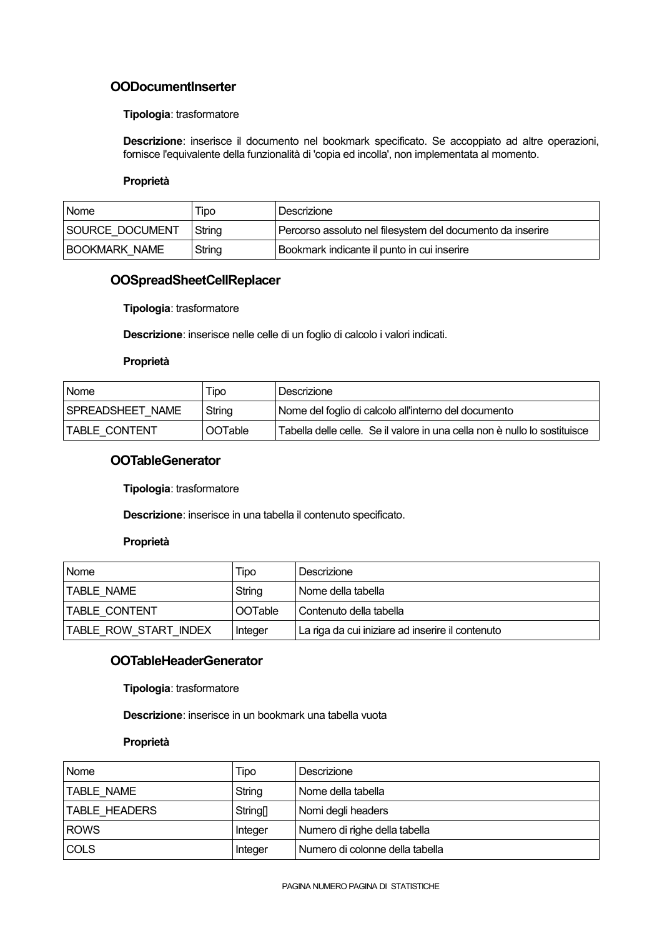### **OODocumentInserter**

#### **Tipologia**: trasformatore

**Descrizione**: inserisce il documento nel bookmark specificato. Se accoppiato ad altre operazioni, fornisce l'equivalente della funzionalità di 'copia ed incolla', non implementata al momento.

#### **Proprietà**

| <b>Nome</b>          | Tipo   | Descrizione                                                |
|----------------------|--------|------------------------------------------------------------|
| SOURCE DOCUMENT      | String | Percorso assoluto nel filesystem del documento da inserire |
| <b>BOOKMARK NAME</b> | String | Bookmark indicante il punto in cui inserire                |

### **OOSpreadSheetCellReplacer**

**Tipologia**: trasformatore

**Descrizione**: inserisce nelle celle di un foglio di calcolo i valori indicati.

#### **Proprietà**

| <b>Nome</b>             | Tipo           | Descrizione                                                               |
|-------------------------|----------------|---------------------------------------------------------------------------|
| <b>SPREADSHEET NAME</b> | String         | Nome del foglio di calcolo all'interno del documento                      |
| TABLE CONTENT           | <b>OOTable</b> | Tabella delle celle. Se il valore in una cella non è nullo lo sostituisce |

### **OOTableGenerator**

**Tipologia**: trasformatore

**Descrizione**: inserisce in una tabella il contenuto specificato.

#### **Proprietà**

| Nome                  | Tipo    | Descrizione                                      |
|-----------------------|---------|--------------------------------------------------|
| <b>TABLE NAME</b>     | String  | Nome della tabella                               |
| <b>ITABLE CONTENT</b> | OOTable | Contenuto della tabella                          |
| TABLE ROW START INDEX | Integer | La riga da cui iniziare ad inserire il contenuto |

### **OOTableHeaderGenerator**

**Tipologia**: trasformatore

**Descrizione**: inserisce in un bookmark una tabella vuota

#### **Proprietà**

| Nome                 | Tipo            | Descrizione                     |
|----------------------|-----------------|---------------------------------|
| TABLE NAME           | String          | Nome della tabella              |
| <b>TABLE HEADERS</b> | <b>String[]</b> | Nomi degli headers              |
| <b>ROWS</b>          | Integer         | Numero di righe della tabella   |
| <b>COLS</b>          | Integer         | Numero di colonne della tabella |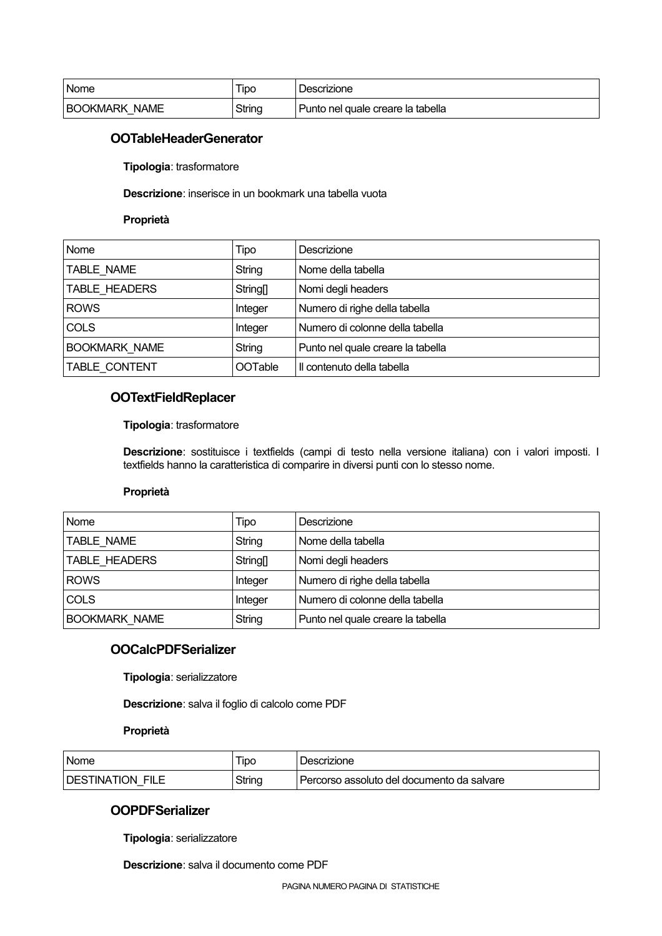| Nome                 | Tipo   | Descrizione                         |
|----------------------|--------|-------------------------------------|
| <b>BOOKMARK NAME</b> | String | ' Punto nel quale creare la tabella |

### **OOTableHeaderGenerator**

**Tipologia**: trasformatore

**Descrizione**: inserisce in un bookmark una tabella vuota

#### **Proprietà**

| Nome                 | Tipo            | Descrizione                       |
|----------------------|-----------------|-----------------------------------|
| TABLE NAME           | String          | Nome della tabella                |
| TABLE HEADERS        | <b>String[]</b> | Nomi degli headers                |
| <b>ROWS</b>          | Integer         | Numero di righe della tabella     |
| <b>COLS</b>          | Integer         | Numero di colonne della tabella   |
| <b>BOOKMARK NAME</b> | String          | Punto nel quale creare la tabella |
| TABLE CONTENT        | <b>OOTable</b>  | Il contenuto della tabella        |

### **OOTextFieldReplacer**

#### **Tipologia**: trasformatore

**Descrizione**: sostituisce i textfields (campi di testo nella versione italiana) con i valori imposti. I textfields hanno la caratteristica di comparire in diversi punti con lo stesso nome.

#### **Proprietà**

| Nome                 | Tipo                        | Descrizione                       |
|----------------------|-----------------------------|-----------------------------------|
| <b>TABLE NAME</b>    | String                      | Nome della tabella                |
| TABLE HEADERS        | <b>String</b> <sub>[]</sub> | Nomi degli headers                |
| <b>ROWS</b>          | Integer                     | Numero di righe della tabella     |
| <b>COLS</b>          | Integer                     | Numero di colonne della tabella   |
| <b>BOOKMARK NAME</b> | String                      | Punto nel quale creare la tabella |

### **OOCalcPDFSerializer**

**Tipologia**: serializzatore

**Descrizione**: salva il foglio di calcolo come PDF

#### **Proprietà**

| <b>Nome</b>             | IDC    | Descrizione                                |
|-------------------------|--------|--------------------------------------------|
| <b>DESTINATION FILE</b> | String | Percorso assoluto del documento da salvare |

### **OOPDFSerializer**

**Tipologia**: serializzatore

**Descrizione**: salva il documento come PDF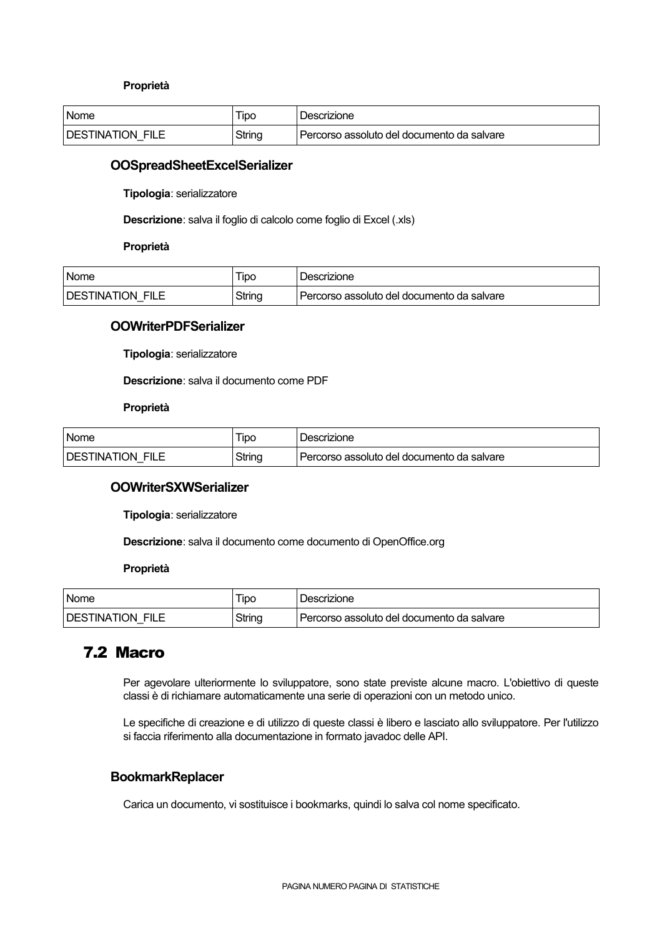#### **Proprietà**

| Nome             | l ipo  | Descrizione                                  |
|------------------|--------|----------------------------------------------|
| DESTINATION FILE | String | l Percorso assoluto del documento da salvare |

#### **OOSpreadSheetExcelSerializer**

**Tipologia**: serializzatore

**Descrizione**: salva il foglio di calcolo come foglio di Excel (.xls)

#### **Proprietà**

| Nome             | <b>IDO</b> | Descrizione                                |
|------------------|------------|--------------------------------------------|
| DESTINATION FILE | String     | Percorso assoluto del documento da salvare |

### **OOWriterPDFSerializer**

**Tipologia**: serializzatore

**Descrizione:** salva il documento come PDF

### **Proprietà**

| <b>Nome</b>      | ipc    | Descrizione                                |
|------------------|--------|--------------------------------------------|
| DESTINATION FILE | String | Percorso assoluto del documento da salvare |

#### **OOWriterSXWSerializer**

**Tipologia**: serializzatore

**Descrizione**: salva il documento come documento di OpenOffice.org

#### **Proprietà**

| <b>Nome</b>      | ipo    | Descrizione                                |
|------------------|--------|--------------------------------------------|
| DESTINATION FILE | String | Percorso assoluto del documento da salvare |

### 7.2 Macro

Per agevolare ulteriormente lo sviluppatore, sono state previste alcune macro. L'obiettivo di queste classi è di richiamare automaticamente una serie di operazioni con un metodo unico.

Le specifiche di creazione e di utilizzo di queste classi è libero e lasciato allo sviluppatore. Per l'utilizzo si faccia riferimento alla documentazione in formato javadoc delle API.

### **BookmarkReplacer**

Carica un documento, vi sostituisce i bookmarks, quindi lo salva col nome specificato.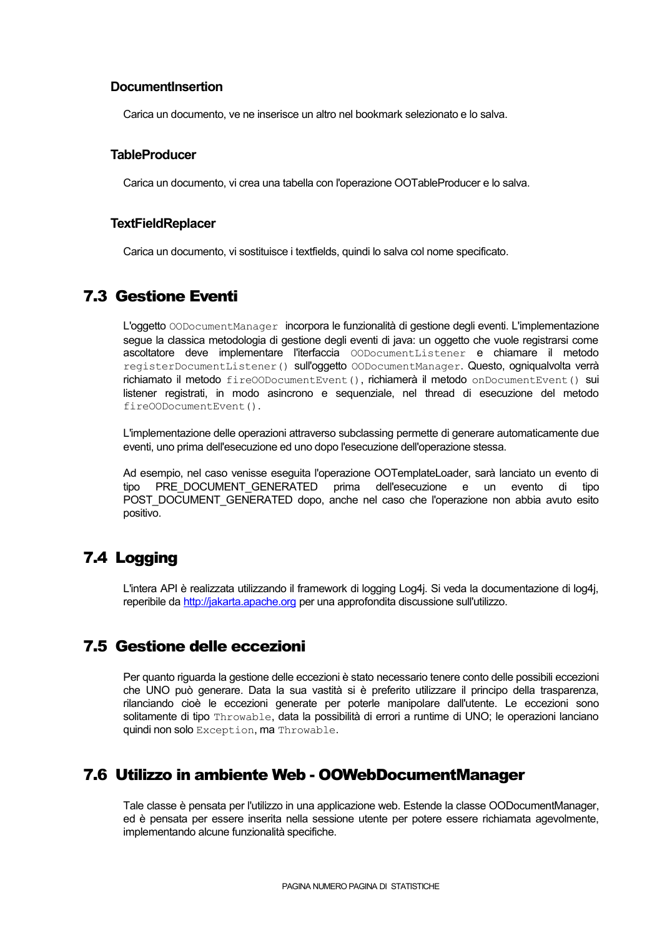### **DocumentInsertion**

Carica un documento, ve ne inserisce un altro nel bookmark selezionato e lo salva.

#### **TableProducer**

Carica un documento, vi crea una tabella con l'operazione OOTableProducer e lo salva.

### **TextFieldReplacer**

Carica un documento, vi sostituisce i textfields, quindi lo salva col nome specificato.

## 7.3 Gestione Eventi

L'oggetto OODocumentManager incorpora le funzionalità di gestione degli eventi. L'implementazione segue la classica metodologia di gestione degli eventi di java: un oggetto che vuole registrarsi come ascoltatore deve implementare l'iterfaccia OODocumentListener e chiamare il metodo registerDocumentListener() sull'oggetto OODocumentManager. Questo, ogniqualvolta verrà richiamato il metodo fireOODocumentEvent(), richiamerà il metodo onDocumentEvent() sui listener registrati, in modo asincrono e sequenziale, nel thread di esecuzione del metodo fireOODocumentEvent().

L'implementazione delle operazioni attraverso subclassing permette di generare automaticamente due eventi, uno prima dell'esecuzione ed uno dopo l'esecuzione dell'operazione stessa.

Ad esempio, nel caso venisse eseguita l'operazione OOTemplateLoader, sarà lanciato un evento di tipo PRE\_DOCUMENT\_GENERATED prima dell'esecuzione e un evento di tipo POST\_DOCUMENT\_GENERATED dopo, anche nel caso che l'operazione non abbia avuto esito positivo.

# 7.4 Logging

L'intera API è realizzata utilizzando il framework di logging Log4j. Si veda la documentazione di log4j, reperibile da http://jakarta.apache.org per una approfondita discussione sull'utilizzo.

## 7.5 Gestione delle eccezioni

Per quanto riguarda la gestione delle eccezioniè stato necessario tenere conto delle possibili eccezioni che UNO può generare. Data la sua vastità si è preferito utilizzare il principo della trasparenza, rilanciando cioè le eccezioni generate per poterle manipolare dall'utente. Le eccezioni sono solitamente di tipo Throwable, data la possibilità di errori a runtime di UNO; le operazioni lanciano quindi non solo Exception, ma Throwable.

## 7.6 Utilizzo in ambiente Web - OOWebDocumentManager

Tale classe è pensata per l'utilizzo in una applicazione web. Estende la classe OODocumentManager, ed è pensata per essere inserita nella sessione utente per potere essere richiamata agevolmente, implementando alcune funzionalità specifiche.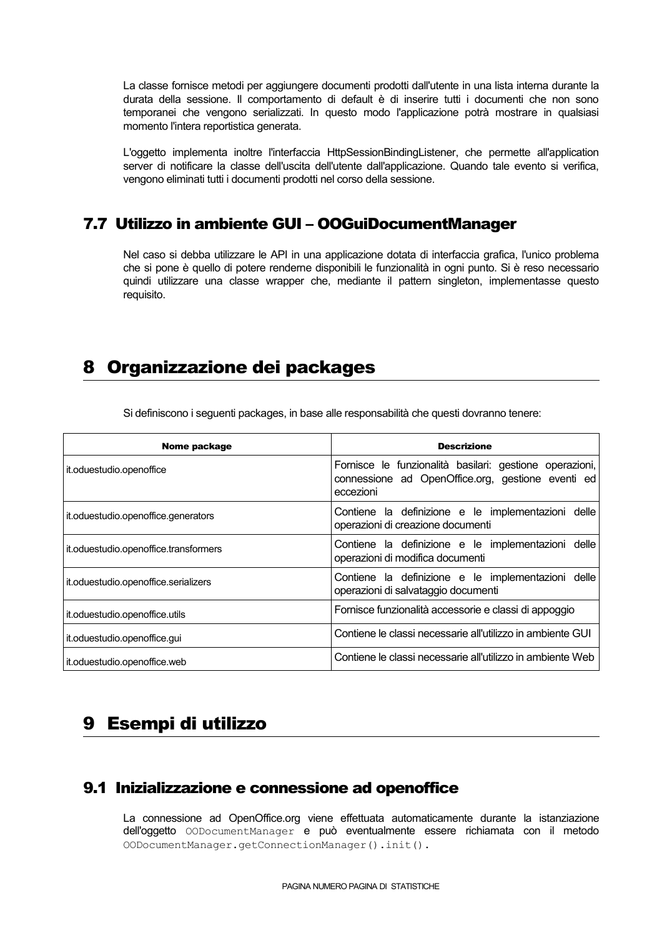La classe fornisce metodi per aggiungere documenti prodotti dall'utente in una lista interna durante la durata della sessione. Il comportamento di default è di inserire tutti i documenti che non sono temporanei che vengono serializzati. In questo modo l'applicazione potrà mostrare in qualsiasi momento l'intera reportistica generata.

L'oggetto implementa inoltre l'interfaccia HttpSessionBindingListener, che permette all'application server di notificare la classe dell'uscita dell'utente dall'applicazione. Quando tale evento si verifica, vengono eliminati tutti i documenti prodotti nel corso della sessione.

## 7.7 Utilizzo in ambiente GUI – OOGuiDocumentManager

Nel caso si debba utilizzare le API in una applicazione dotata di interfaccia grafica, l'unico problema che si pone è quello di potere renderne disponibili le funzionalità in ogni punto. Si è reso necessario quindi utilizzare una classe wrapper che, mediante il pattern singleton, implementasse questo requisito.

# 8 Organizzazione dei packages

| Nome package                          | <b>Descrizione</b>                                                                                                        |
|---------------------------------------|---------------------------------------------------------------------------------------------------------------------------|
| it.oduestudio.openoffice              | Fornisce le funzionalità basilari: gestione operazioni,<br>connessione ad OpenOffice.org, gestione eventi ed<br>eccezioni |
| it.oduestudio.openoffice.generators   | Contiene la definizione e le implementazioni delle<br>operazioni di creazione documenti                                   |
| it.oduestudio.openoffice.transformers | Contiene la definizione e le implementazioni delle<br>operazioni di modifica documenti                                    |
| it.oduestudio.openoffice.serializers  | Contiene la definizione e le implementazioni delle<br>operazioni di salvataggio documenti                                 |
| it.oduestudio.openoffice.utils        | Fornisce funzionalità accessorie e classi di appoggio                                                                     |
| it.oduestudio.openoffice.gui          | Contiene le classi necessarie all'utilizzo in ambiente GUI                                                                |
| it.oduestudio.openoffice.web          | Contiene le classi necessarie all'utilizzo in ambiente Web                                                                |

Sidefiniscono i seguenti packages, in base alleresponsabilità che questi dovranno tenere:

# 9 Esempi di utilizzo

## 9.1 Inizializzazione e connessione ad openoffice

La connessione ad OpenOffice.org viene effettuata automaticamente durante la istanziazione dell'oggetto OODocumentManager e può eventualmente essere richiamata con il metodo OODocumentManager.getConnectionManager().init().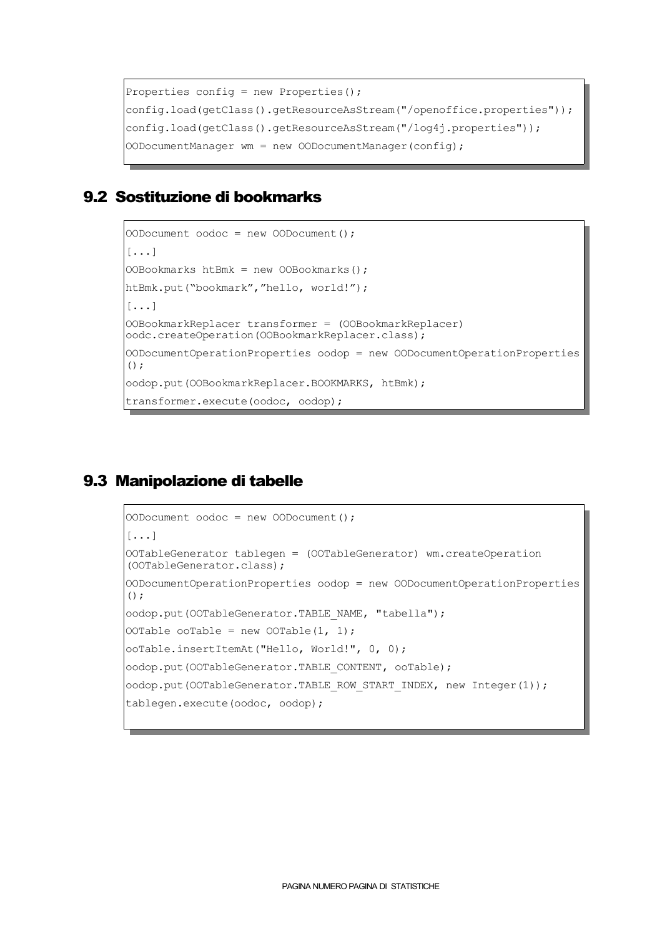```
Properties config = new Properties();
config.load(getClass().getResourceAsStream("/openoffice.properties"));
config.load(getClass().getResourceAsStream("/log4j.properties"));
OODocumentManager wm = new OODocumentManager(config);
```
## 9.2 Sostituzione di bookmarks

```
OODocument oodoc = new OODocument();
[...]
OOBookmarks htBmk = new OOBookmarks();
htBmk.put("bookmark","hello, world!");
[...]
OOBookmarkReplacer transformer = (OOBookmarkReplacer)
oodc.createOperation(OOBookmarkReplacer.class);
OODocumentOperationProperties oodop = new OODocumentOperationProperties
();
oodop.put(OOBookmarkReplacer.BOOKMARKS, htBmk);
transformer.execute(oodoc, oodop);
```
# 9.3 Manipolazione di tabelle

```
OODocument oodoc = new OODocument();
[...]
OOTableGenerator tablegen = (OOTableGenerator) wm.createOperation
(OOTableGenerator.class);
OODocumentOperationProperties oodop = new OODocumentOperationProperties
();
oodop.put(OOTableGenerator.TABLE_NAME, "tabella");
OOTable ooTable = new OOTable(1, 1);
ooTable.insertItemAt("Hello, World!", 0, 0);
oodop.put(OOTableGenerator.TABLE_CONTENT, ooTable);
oodop.put(OOTableGenerator.TABLE_ROW_START_INDEX, new Integer(1));
tablegen.execute(oodoc, oodop);
```